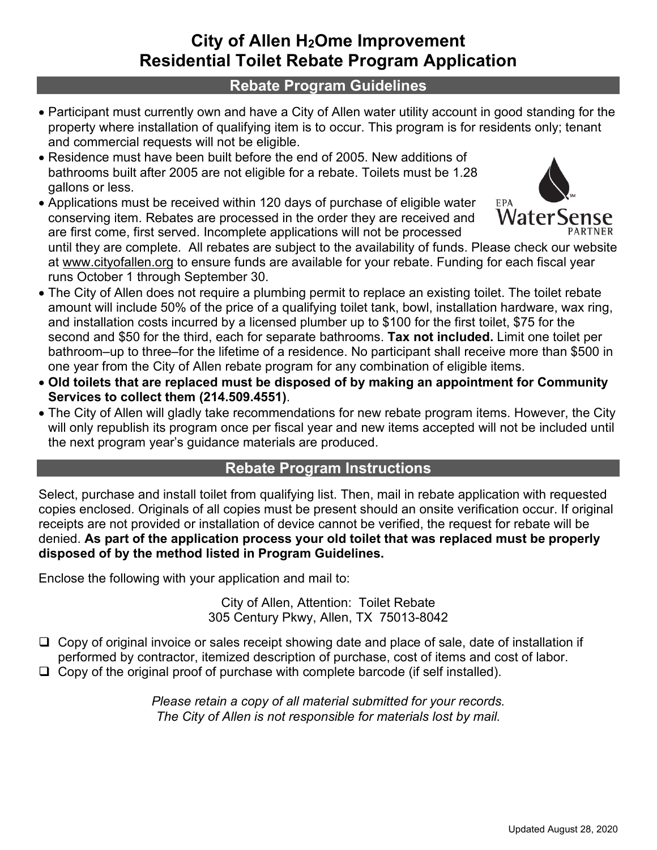## **City of Allen H2Ome Improvement Residential Toilet Rebate Program Application**

## **Rebate Program Guidelines**

- Participant must currently own and have a City of Allen water utility account in good standing for the property where installation of qualifying item is to occur. This program is for residents only; tenant and commercial requests will not be eligible.
- Residence must have been built before the end of 2005. New additions of bathrooms built after 2005 are not eligible for a rebate. Toilets must be 1.28 gallons or less.
- Applications must be received within 120 days of purchase of eligible water conserving item. Rebates are processed in the order they are received and are first come, first served. Incomplete applications will not be processed



until they are complete. All rebates are subject to the availability of funds. Please check our website at www.cityofallen.org to ensure funds are available for your rebate. Funding for each fiscal year runs October 1 through September 30.

- The City of Allen does not require a plumbing permit to replace an existing toilet. The toilet rebate amount will include 50% of the price of a qualifying toilet tank, bowl, installation hardware, wax ring, and installation costs incurred by a licensed plumber up to \$100 for the first toilet, \$75 for the second and \$50 for the third, each for separate bathrooms. **Tax not included.** Limit one toilet per bathroom–up to three–for the lifetime of a residence. No participant shall receive more than \$500 in one year from the City of Allen rebate program for any combination of eligible items.
- **Old toilets that are replaced must be disposed of by making an appointment for Community Services to collect them (214.509.4551)**.
- The City of Allen will gladly take recommendations for new rebate program items. However, the City will only republish its program once per fiscal year and new items accepted will not be included until the next program year's guidance materials are produced.

## **Rebate Program Instructions**

Select, purchase and install toilet from qualifying list. Then, mail in rebate application with requested copies enclosed. Originals of all copies must be present should an onsite verification occur. If original receipts are not provided or installation of device cannot be verified, the request for rebate will be denied. **As part of the application process your old toilet that was replaced must be properly disposed of by the method listed in Program Guidelines.** 

Enclose the following with your application and mail to:

City of Allen, Attention: Toilet Rebate 305 Century Pkwy, Allen, TX 75013-8042

- $\Box$  Copy of original invoice or sales receipt showing date and place of sale, date of installation if performed by contractor, itemized description of purchase, cost of items and cost of labor.
- $\Box$  Copy of the original proof of purchase with complete barcode (if self installed).

*Please retain a copy of all material submitted for your records. The City of Allen is not responsible for materials lost by mail.*